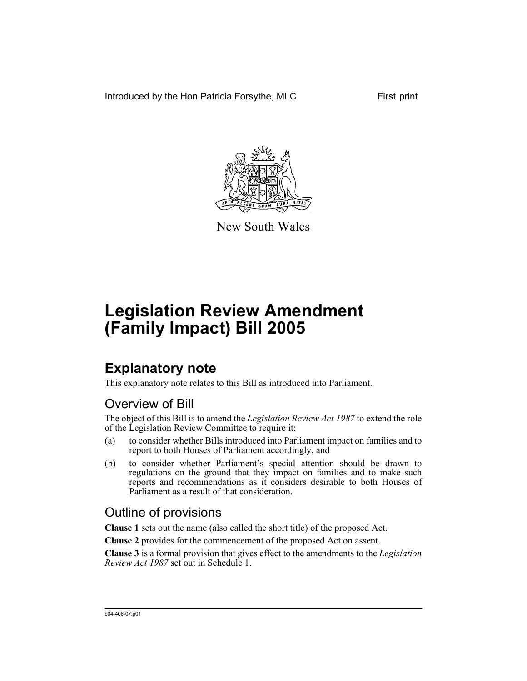Introduced by the Hon Patricia Forsythe, MLC First print



New South Wales

# **Legislation Review Amendment (Family Impact) Bill 2005**

## **Explanatory note**

This explanatory note relates to this Bill as introduced into Parliament.

## Overview of Bill

The object of this Bill is to amend the *Legislation Review Act 1987* to extend the role of the Legislation Review Committee to require it:

- (a) to consider whether Bills introduced into Parliament impact on families and to report to both Houses of Parliament accordingly, and
- (b) to consider whether Parliament's special attention should be drawn to regulations on the ground that they impact on families and to make such reports and recommendations as it considers desirable to both Houses of Parliament as a result of that consideration.

## Outline of provisions

**Clause 1** sets out the name (also called the short title) of the proposed Act.

**Clause 2** provides for the commencement of the proposed Act on assent.

**Clause 3** is a formal provision that gives effect to the amendments to the *Legislation Review Act 1987* set out in Schedule 1.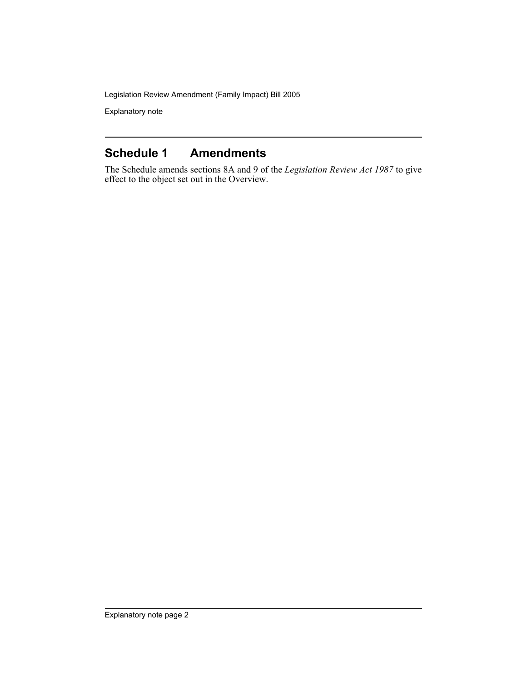Legislation Review Amendment (Family Impact) Bill 2005

Explanatory note

#### **Schedule 1 Amendments**

The Schedule amends sections 8A and 9 of the *Legislation Review Act 1987* to give effect to the object set out in the Overview.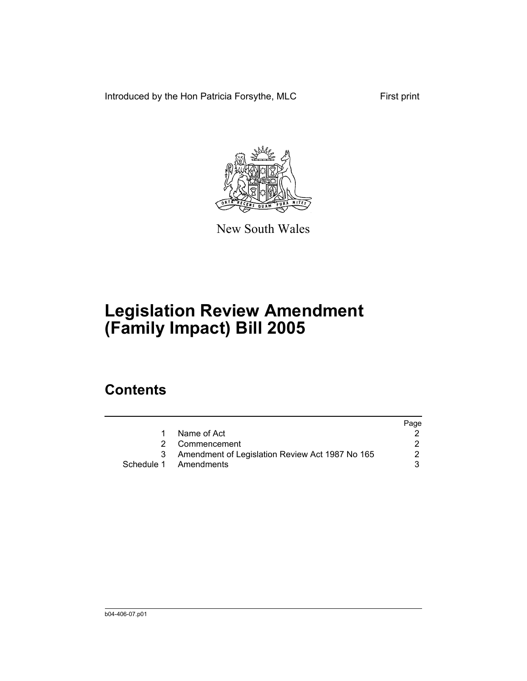Introduced by the Hon Patricia Forsythe, MLC First print



New South Wales

# **Legislation Review Amendment (Family Impact) Bill 2005**

## **Contents**

|                                                 | Page |
|-------------------------------------------------|------|
| Name of Act                                     |      |
| 2 Commencement                                  |      |
| Amendment of Legislation Review Act 1987 No 165 |      |
| Schedule 1 Amendments                           |      |
|                                                 |      |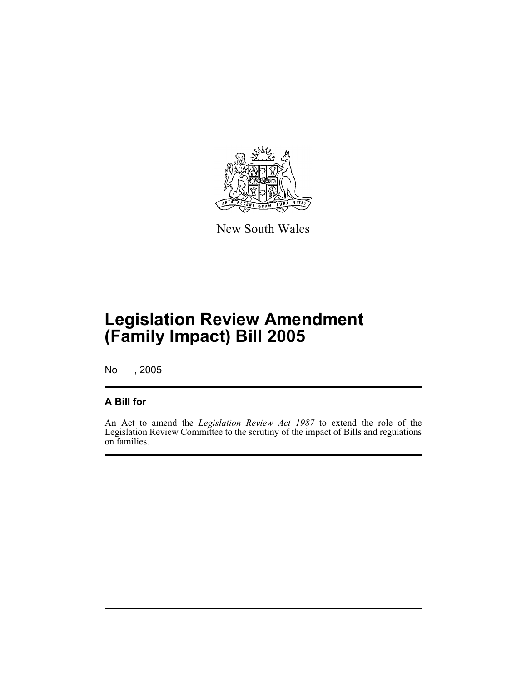

New South Wales

## **Legislation Review Amendment (Family Impact) Bill 2005**

No , 2005

#### **A Bill for**

An Act to amend the *Legislation Review Act 1987* to extend the role of the Legislation Review Committee to the scrutiny of the impact of Bills and regulations on families.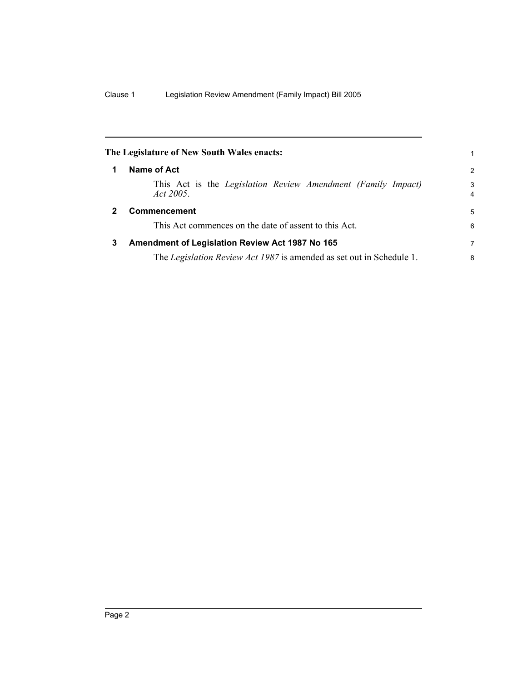<span id="page-5-1"></span><span id="page-5-0"></span>

| The Legislature of New South Wales enacts: |                                                                           |                     |
|--------------------------------------------|---------------------------------------------------------------------------|---------------------|
| 1                                          | Name of Act                                                               | 2                   |
|                                            | This Act is the Legislation Review Amendment (Family Impact)<br>Act 2005. | 3<br>$\overline{4}$ |
| $\mathbf{2}$                               | <b>Commencement</b>                                                       | 5                   |
|                                            | This Act commences on the date of assent to this Act.                     | 6                   |
| 3                                          | Amendment of Legislation Review Act 1987 No 165                           | 7                   |
|                                            | The Legislation Review Act 1987 is amended as set out in Schedule 1.      | 8                   |